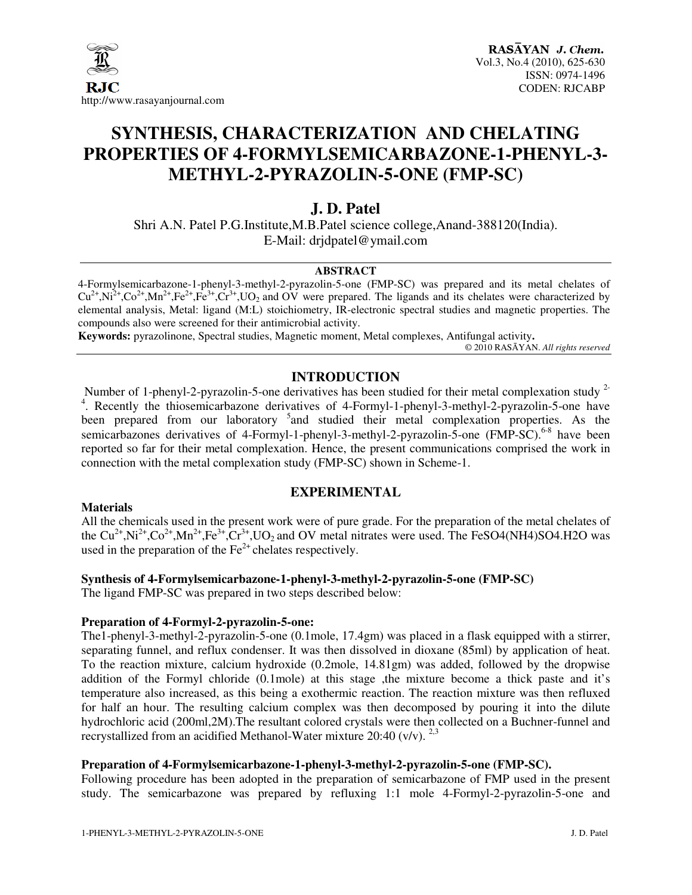

# **SYNTHESIS, CHARACTERIZATION AND CHELATING PROPERTIES OF 4-FORMYLSEMICARBAZONE-1-PHENYL-3- METHYL-2-PYRAZOLIN-5-ONE (FMP-SC)**

## **J. D. Patel**

Shri A.N. Patel P.G.Institute,M.B.Patel science college,Anand-388120(India). E-Mail: drjdpatel@ymail.com

#### **ABSTRACT**

4-Formylsemicarbazone-1-phenyl-3-methyl-2-pyrazolin-5-one (FMP-SC) was prepared and its metal chelates of  $Cu^{2+}$ , $Ni^{2+}$ , $Co^{2+}$ , $Mn^{2+}$ , $Fe^{2+}$ , $Fe^{3+}$ , $Cr^{3+}$ , $UO_2$  and OV were prepared. The ligands and its chelates were characterized by elemental analysis, Metal: ligand (M:L) stoichiometry, IR-electronic spectral studies and magnetic properties. The compounds also were screened for their antimicrobial activity.

**Keywords:** pyrazolinone, Spectral studies, Magnetic moment, Metal complexes, Antifungal activity**.** 

© 2010 RASĀYAN. *All rights reserved*

#### **INTRODUCTION**

Number of 1-phenyl-2-pyrazolin-5-one derivatives has been studied for their metal complexation study 2- 4 . Recently the thiosemicarbazone derivatives of 4-Formyl-1-phenyl-3-methyl-2-pyrazolin-5-one have been prepared from our laboratory <sup>5</sup> and studied their metal complexation properties. As the semicarbazones derivatives of 4-Formyl-1-phenyl-3-methyl-2-pyrazolin-5-one (FMP-SC).<sup>6-8</sup> have been reported so far for their metal complexation. Hence, the present communications comprised the work in connection with the metal complexation study (FMP-SC) shown in Scheme-1.

#### **Materials**

All the chemicals used in the present work were of pure grade. For the preparation of the metal chelates of the  $Cu^{2+}$ ,Ni<sup>2+</sup>,Co<sup>2+</sup>,Mn<sup>2+</sup>,Fe<sup>3+</sup>,Cr<sup>3+</sup>,UO<sub>2</sub> and OV metal nitrates were used. The FeSO4(NH4)SO4.H2O was used in the preparation of the  $Fe<sup>2+</sup>$  chelates respectively.

**EXPERIMENTAL** 

#### **Synthesis of 4-Formylsemicarbazone-1-phenyl-3-methyl-2-pyrazolin-5-one (FMP-SC)**

The ligand FMP-SC was prepared in two steps described below:

#### **Preparation of 4-Formyl-2-pyrazolin-5-one:**

The1-phenyl-3-methyl-2-pyrazolin-5-one (0.1mole, 17.4gm) was placed in a flask equipped with a stirrer, separating funnel, and reflux condenser. It was then dissolved in dioxane (85ml) by application of heat. To the reaction mixture, calcium hydroxide (0.2mole, 14.81gm) was added, followed by the dropwise addition of the Formyl chloride (0.1mole) at this stage ,the mixture become a thick paste and it's temperature also increased, as this being a exothermic reaction. The reaction mixture was then refluxed for half an hour. The resulting calcium complex was then decomposed by pouring it into the dilute hydrochloric acid (200ml,2M).The resultant colored crystals were then collected on a Buchner-funnel and recrystallized from an acidified Methanol-Water mixture 20:40 (v/v).  $^{2,3}$ 

#### **Preparation of 4-Formylsemicarbazone-1-phenyl-3-methyl-2-pyrazolin-5-one (FMP-SC).**

Following procedure has been adopted in the preparation of semicarbazone of FMP used in the present study. The semicarbazone was prepared by refluxing 1:1 mole 4-Formyl-2-pyrazolin-5-one and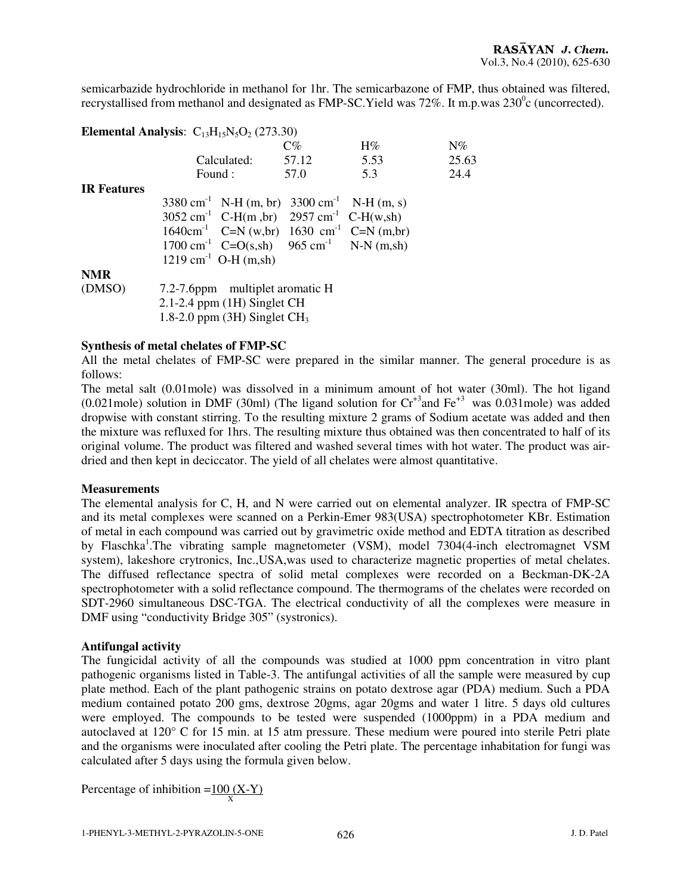semicarbazide hydrochloride in methanol for 1hr. The semicarbazone of FMP, thus obtained was filtered, recrystallised from methanol and designated as FMP-SC. Yield was  $72\%$ . It m.p.was  $230^{\circ}$ c (uncorrected).

|                    | <b>Elemental Analysis:</b> $C_{13}H_{15}N_5O_2$ (273.30)             |       |       |       |  |  |  |
|--------------------|----------------------------------------------------------------------|-------|-------|-------|--|--|--|
|                    |                                                                      | C%    | $H\%$ | $N\%$ |  |  |  |
|                    | Calculated:                                                          | 57.12 | 5.53  | 25.63 |  |  |  |
|                    | Found :                                                              | 57.0  | 5.3   | 24.4  |  |  |  |
| <b>IR Features</b> |                                                                      |       |       |       |  |  |  |
|                    | $3380 \text{ cm}^{-1}$ N-H (m, br) $3300 \text{ cm}^{-1}$ N-H (m, s) |       |       |       |  |  |  |
|                    | $3052 \text{ cm}^{-1}$ C-H(m, br) $2957 \text{ cm}^{-1}$ C-H(w, sh)  |       |       |       |  |  |  |
|                    | $1640 \text{cm}^{-1}$ C=N (w,br) 1630 cm <sup>-1</sup> C=N (m,br)    |       |       |       |  |  |  |
|                    | 1700 cm <sup>-1</sup> $C=O(s,sh)$ 965 cm <sup>-1</sup> N-N (m,sh)    |       |       |       |  |  |  |
|                    | $1219 \text{ cm}^{-1} \text{ O-H (m,sh)}$                            |       |       |       |  |  |  |
| <b>NMR</b>         |                                                                      |       |       |       |  |  |  |
| (DMSO)             | 7.2-7.6ppm multiplet aromatic H                                      |       |       |       |  |  |  |
|                    | 2.1-2.4 ppm (1H) Singlet CH                                          |       |       |       |  |  |  |
|                    | 1.8-2.0 ppm $(3H)$ Singlet CH <sub>3</sub>                           |       |       |       |  |  |  |

#### **Synthesis of metal chelates of FMP-SC**

All the metal chelates of FMP-SC were prepared in the similar manner. The general procedure is as follows:

The metal salt (0.01mole) was dissolved in a minimum amount of hot water (30ml). The hot ligand (0.021mole) solution in DMF (30ml) (The ligand solution for  $Cr^{+3}$  and  $Fe^{+3}$  was 0.031mole) was added dropwise with constant stirring. To the resulting mixture 2 grams of Sodium acetate was added and then the mixture was refluxed for 1hrs. The resulting mixture thus obtained was then concentrated to half of its original volume. The product was filtered and washed several times with hot water. The product was airdried and then kept in deciccator. The yield of all chelates were almost quantitative.

#### **Measurements**

The elemental analysis for C, H, and N were carried out on elemental analyzer. IR spectra of FMP-SC and its metal complexes were scanned on a Perkin-Emer 983(USA) spectrophotometer KBr. Estimation of metal in each compound was carried out by gravimetric oxide method and EDTA titration as described by Flaschka<sup>1</sup>. The vibrating sample magnetometer (VSM), model 7304(4-inch electromagnet VSM system), lakeshore crytronics, Inc.,USA,was used to characterize magnetic properties of metal chelates. The diffused reflectance spectra of solid metal complexes were recorded on a Beckman-DK-2A spectrophotometer with a solid reflectance compound. The thermograms of the chelates were recorded on SDT-2960 simultaneous DSC-TGA. The electrical conductivity of all the complexes were measure in DMF using "conductivity Bridge 305" (systronics).

#### **Antifungal activity**

The fungicidal activity of all the compounds was studied at 1000 ppm concentration in vitro plant pathogenic organisms listed in Table-3. The antifungal activities of all the sample were measured by cup plate method. Each of the plant pathogenic strains on potato dextrose agar (PDA) medium. Such a PDA medium contained potato 200 gms, dextrose 20gms, agar 20gms and water 1 litre. 5 days old cultures were employed. The compounds to be tested were suspended (1000ppm) in a PDA medium and autoclaved at 120° C for 15 min. at 15 atm pressure. These medium were poured into sterile Petri plate and the organisms were inoculated after cooling the Petri plate. The percentage inhabitation for fungi was calculated after 5 days using the formula given below.

Percentage of inhibition = $\frac{100 (X-Y)}{x}$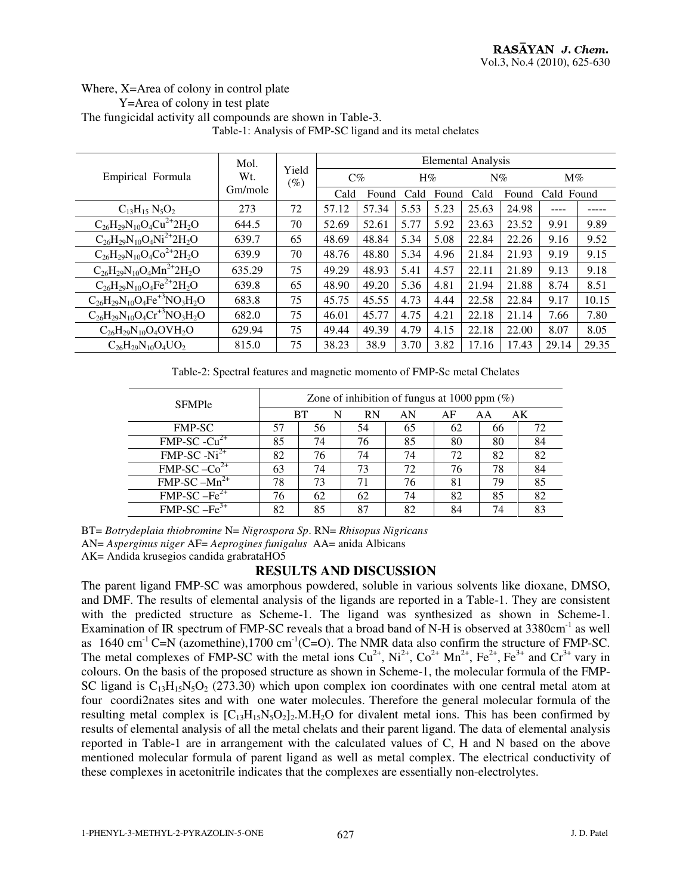### Where, X=Area of colony in control plate Y=Area of colony in test plate The fungicidal activity all compounds are shown in Table-3.

| Table-1: Analysis of FMP-SC ligand and its metal chelates |
|-----------------------------------------------------------|
|-----------------------------------------------------------|

|                                        | Mol.           | Yield<br>$\left( \% \right)$ | Elemental Analysis |       |      |       |       |       |            |       |
|----------------------------------------|----------------|------------------------------|--------------------|-------|------|-------|-------|-------|------------|-------|
| Empirical Formula                      | Wt.<br>Gm/mole |                              | $C\%$              |       | H%   |       | $N\%$ |       | $M\%$      |       |
|                                        |                |                              | Cald               | Found | Cald | Found | Cald  | Found | Cald Found |       |
| $C_{13}H_{15}N_5O_2$                   | 273            | 72                           | 57.12              | 57.34 | 5.53 | 5.23  | 25.63 | 24.98 |            |       |
| $C_{26}H_{29}N_{10}O_4Cu^{2+}2H_2O$    | 644.5          | 70                           | 52.69              | 52.61 | 5.77 | 5.92  | 23.63 | 23.52 | 9.91       | 9.89  |
| $C_{26}H_{29}N_{10}O_4Ni^{2+}2H_2O$    | 639.7          | 65                           | 48.69              | 48.84 | 5.34 | 5.08  | 22.84 | 22.26 | 9.16       | 9.52  |
| $C_{26}H_{29}N_{10}O_4Co^{2+}2H_2O$    | 639.9          | 70                           | 48.76              | 48.80 | 5.34 | 4.96  | 21.84 | 21.93 | 9.19       | 9.15  |
| $C_{26}H_{29}N_{10}O_4Mn^{2+}2H_2O$    | 635.29         | 75                           | 49.29              | 48.93 | 5.41 | 4.57  | 22.11 | 21.89 | 9.13       | 9.18  |
| $C_{26}H_{29}N_{10}O_4Fe^{2+}2H_2O$    | 639.8          | 65                           | 48.90              | 49.20 | 5.36 | 4.81  | 21.94 | 21.88 | 8.74       | 8.51  |
| $C_{26}H_{29}N_{10}O_4Fe^{+3}NO_3H_2O$ | 683.8          | 75                           | 45.75              | 45.55 | 4.73 | 4.44  | 22.58 | 22.84 | 9.17       | 10.15 |
| $C_{26}H_{29}N_{10}O_4Cr^{+3}NO_3H_2O$ | 682.0          | 75                           | 46.01              | 45.77 | 4.75 | 4.21  | 22.18 | 21.14 | 7.66       | 7.80  |
| $C_{26}H_{29}N_{10}O_4OVH_2O$          | 629.94         | 75                           | 49.44              | 49.39 | 4.79 | 4.15  | 22.18 | 22.00 | 8.07       | 8.05  |
| $C_{26}H_{29}N_{10}O_4UO_2$            | 815.0          | 75                           | 38.23              | 38.9  | 3.70 | 3.82  | 17.16 | 17.43 | 29.14      | 29.35 |

Table-2: Spectral features and magnetic momento of FMP-Sc metal Chelates

| <b>SFMPle</b>                        | Zone of inhibition of fungus at 1000 ppm $(\%)$ |         |           |    |    |    |    |  |
|--------------------------------------|-------------------------------------------------|---------|-----------|----|----|----|----|--|
|                                      |                                                 | BT<br>N | <b>RN</b> | AN | AF | AА | AK |  |
| <b>FMP-SC</b>                        | 57                                              | 56      | 54        | 65 | 62 | 66 |    |  |
| $FMP-SC - Cu2+$                      | 85                                              | 74      | 76        | 85 | 80 | 80 | 84 |  |
| $\overline{\text{FMP-SC} - Ni^{2+}}$ | 82                                              | 76      | 74        | 74 | 72 | 82 | 82 |  |
| $FMP-SC-CO2+$                        | 63                                              | 74      | 73        | 72 | 76 | 78 | 84 |  |
| $FMP-SC-Mn^{2+}$                     | 78                                              | 73      | 71        | 76 | 81 | 79 | 85 |  |
| $FMP-SC - Fe2+$                      | 76                                              | 62      | 62        | 74 | 82 | 85 | 82 |  |
| $FMP-SC - Fe3+$                      | 82                                              | 85      | 87        | 82 | 84 | 74 | 83 |  |

BT= *Botrydeplaia thiobromine* N= *Nigrospora Sp*. RN= *Rhisopus Nigricans*

AN= *Asperginus niger* AF= *Aeprogines funigalus* AA= anida Albicans

AK= Andida krusegios candida grabrataHO5

### **RESULTS AND DISCUSSION**

The parent ligand FMP-SC was amorphous powdered, soluble in various solvents like dioxane, DMSO, and DMF. The results of elemental analysis of the ligands are reported in a Table-1. They are consistent with the predicted structure as Scheme-1. The ligand was synthesized as shown in Scheme-1. Examination of IR spectrum of FMP-SC reveals that a broad band of N-H is observed at 3380cm<sup>-1</sup> as well as  $1640 \text{ cm}^{-1}$  C=N (azomethine),1700 cm<sup>-1</sup>(C=O). The NMR data also confirm the structure of FMP-SC. The metal complexes of FMP-SC with the metal ions  $Cu^{2+}$ ,  $Ni^{2+}$ ,  $Co^{2+}$  Mn<sup>2+</sup>,  $Fe^{2+}$ ,  $Fe^{3+}$  and  $Cr^{3+}$  vary in colours. On the basis of the proposed structure as shown in Scheme-1, the molecular formula of the FMP-SC ligand is  $C_{13}H_{15}N_5O_2$  (273.30) which upon complex ion coordinates with one central metal atom at four coordi2nates sites and with one water molecules. Therefore the general molecular formula of the resulting metal complex is  $[C_{13}H_{15}N_5O_2]_2$ .M.H<sub>2</sub>O for divalent metal ions. This has been confirmed by results of elemental analysis of all the metal chelats and their parent ligand. The data of elemental analysis reported in Table-1 are in arrangement with the calculated values of C, H and N based on the above mentioned molecular formula of parent ligand as well as metal complex. The electrical conductivity of these complexes in acetonitrile indicates that the complexes are essentially non-electrolytes.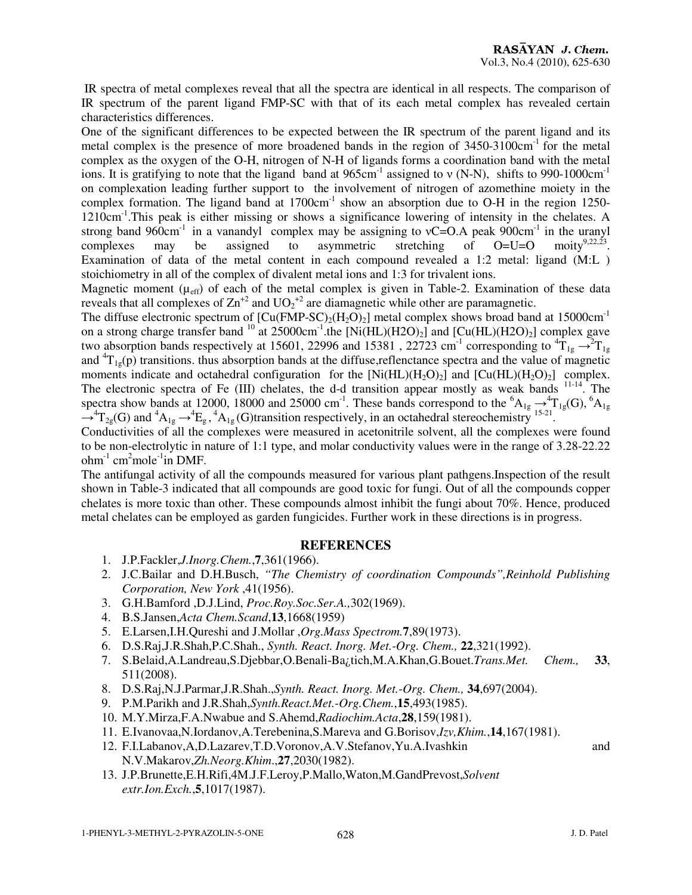IR spectra of metal complexes reveal that all the spectra are identical in all respects. The comparison of IR spectrum of the parent ligand FMP-SC with that of its each metal complex has revealed certain characteristics differences.

One of the significant differences to be expected between the IR spectrum of the parent ligand and its metal complex is the presence of more broadened bands in the region of 3450-3100cm<sup>-1</sup> for the metal complex as the oxygen of the O-H, nitrogen of N-H of ligands forms a coordination band with the metal ions. It is gratifying to note that the ligand band at  $965 \text{cm}^{-1}$  assigned to v (N-N), shifts to 990-1000cm<sup>-1</sup> on complexation leading further support to the involvement of nitrogen of azomethine moiety in the complex formation. The ligand band at 1700cm<sup>-1</sup> show an absorption due to O-H in the region 1250-1210cm-1.This peak is either missing or shows a significance lowering of intensity in the chelates. A strong band 960cm<sup>-1</sup> in a vanandyl complex may be assigning to  $vC=O.A$  peak 900cm<sup>-1</sup> in the uranyl complexes may be assigned to asymmetric stretching of O=U=O moity<sup>9,22,23</sup> moity<sup>9,22,23</sup>. Examination of data of the metal content in each compound revealed a 1:2 metal: ligand (M:L ) stoichiometry in all of the complex of divalent metal ions and 1:3 for trivalent ions.

Magnetic moment ( $\mu_{eff}$ ) of each of the metal complex is given in Table-2. Examination of these data reveals that all complexes of  $\text{Zn}^{+2}$  and  $\text{UO}_2^{+2}$  are diamagnetic while other are paramagnetic.

The diffuse electronic spectrum of  $[Cu(FMP-SC)<sub>2</sub>(H<sub>2</sub>O)<sub>2</sub>]$  metal complex shows broad band at 15000cm<sup>-1</sup> on a strong charge transfer band <sup>10</sup> at  $25000 \text{cm}^{-1}$ .the  $\left[\text{Ni(HL)}(\text{H2O})_2\right]$  and  $\left[\text{Cu(HL)}(\text{H2O})_2\right]$  complex gave two absorption bands respectively at 15601, 22996 and 15381, 22723 cm<sup>-1</sup> corresponding to  ${}^{4}T_{1g} \rightarrow {}^{2}T_{1g}$ and  ${}^{4}T_{1g}(p)$  transitions. thus absorption bands at the diffuse, reflenctance spectra and the value of magnetic moments indicate and octahedral configuration for the  $[Ni(HL)(H_2O)_2]$  and  $[Cu(HL)(H_2O)_2]$  complex. The electronic spectra of Fe (III) chelates, the d-d transition appear mostly as weak bands <sup>11-14</sup>. The spectra show bands at 12000, 18000 and 25000 cm<sup>-1</sup>. These bands correspond to the  ${}^{6}A_{1g} \rightarrow {}^{4}T_{1g}(G)$ ,  ${}^{6}A_{1g}$  $\rightarrow$ <sup>4</sup>T<sub>2g</sub>(G) and <sup>4</sup>A<sub>1g</sub>  $\rightarrow$ <sup>4</sup>E<sub>g</sub>, <sup>4</sup>A<sub>1g</sub> (G)transition respectively, in an octahedral stereochemistry <sup>15-21</sup>.

Conductivities of all the complexes were measured in acetonitrile solvent, all the complexes were found to be non-electrolytic in nature of 1:1 type, and molar conductivity values were in the range of 3.28-22.22  $ohm<sup>-1</sup>$  cm<sup>2</sup>mole<sup>-1</sup>in DMF.

The antifungal activity of all the compounds measured for various plant pathgens.Inspection of the result shown in Table-3 indicated that all compounds are good toxic for fungi. Out of all the compounds copper chelates is more toxic than other. These compounds almost inhibit the fungi about 70%. Hence, produced metal chelates can be employed as garden fungicides. Further work in these directions is in progress.

### **REFERENCES**

- 1. J.P.Fackler,*J.Inorg.Chem.*,**7**,361(1966).
- 2. J.C.Bailar and D.H.Busch, *"The Chemistry of coordination Compounds",Reinhold Publishing Corporation, New York* ,41(1956).
- 3. G.H.Bamford ,D.J.Lind, *Proc.Roy.Soc.Ser.A.,*302(1969).
- 4. B.S.Jansen,*Acta Chem.Scand*,**13**,1668(1959)
- 5. E.Larsen,I.H.Qureshi and J.Mollar ,*Org.Mass Spectrom.***7**,89(1973).
- 6. D.S.Raj,J.R.Shah,P.C.Shah., *Synth. React. Inorg. Met.-Org. Chem.,* **22**,321(1992).
- 7. S.Belaid,A.Landreau,S.Djebbar,O.Benali-Ba¿tich,M.A.Khan,G.Bouet.*Trans.Met. Chem.,* **33**, 511(2008).
- 8. D.S.Raj,N.J.Parmar,J.R.Shah.,*Synth. React. Inorg. Met.-Org. Chem.,* **34**,697(2004).
- 9. P.M.Parikh and J.R.Shah,*Synth.React.Met.-Org.Chem.*,**15**,493(1985).
- 10. M.Y.Mirza,F.A.Nwabue and S.Ahemd,*Radiochim.Acta*,**28**,159(1981).
- 11. E.Ivanovaa,N.Iordanov,A.Terebenina,S.Mareva and G.Borisov,*Izv,Khim.*,**14**,167(1981).
- 12. F.I.Labanov,A,D.Lazarev,T.D.Voronov,A.V.Stefanov,Yu.A.Ivashkin and N.V.Makarov,*Zh.Neorg.Khim*.,**27**,2030(1982).
- 13. J.P.Brunette,E.H.Rifi,4M.J.F.Leroy,P.Mallo,Waton,M.GandPrevost,*Solvent extr.Ion.Exch.*,**5**,1017(1987).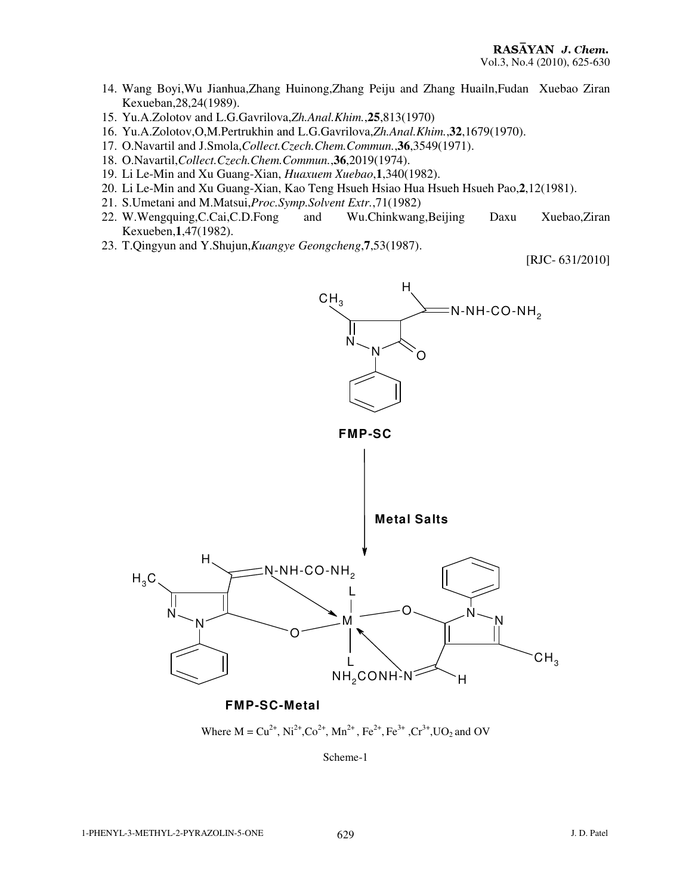- 14. Wang Boyi,Wu Jianhua,Zhang Huinong,Zhang Peiju and Zhang Huailn,Fudan Xuebao Ziran Kexueban,28,24(1989).
- 15. Yu.A.Zolotov and L.G.Gavrilova,*Zh.Anal.Khim.*,**25**,813(1970)
- 16. Yu.A.Zolotov,O,M.Pertrukhin and L.G.Gavrilova,*Zh.Anal.Khim.*,**32**,1679(1970).
- 17. O.Navartil and J.Smola,*Collect.Czech.Chem.Commun.*,**36**,3549(1971).
- 18. O.Navartil,*Collect.Czech.Chem.Commun.*,**36**,2019(1974).
- 19. Li Le-Min and Xu Guang-Xian, *Huaxuem Xuebao*,**1**,340(1982).
- 20. Li Le-Min and Xu Guang-Xian, Kao Teng Hsueh Hsiao Hua Hsueh Hsueh Pao,**2**,12(1981).
- 21. S.Umetani and M.Matsui,*Proc.Symp.Solvent Extr.*,71(1982)
- 22. W.Wengquing,C.Cai,C.D.Fong and Wu.Chinkwang,Beijing Daxu Xuebao,Ziran Kexueben,**1**,47(1982).
- 23. T.Qingyun and Y.Shujun,*Kuangye Geongcheng*,**7**,53(1987).

[RJC- 631/2010]



**FMP-SC-Metal**

Where  $M = Cu^{2+}$ ,  $Ni^{2+}$ ,  $Co^{2+}$ ,  $Mn^{2+}$ ,  $Fe^{2+}$ ,  $Fe^{3+}$ ,  $Cr^{3+}$ ,  $UO_2$  and OV

Scheme-1